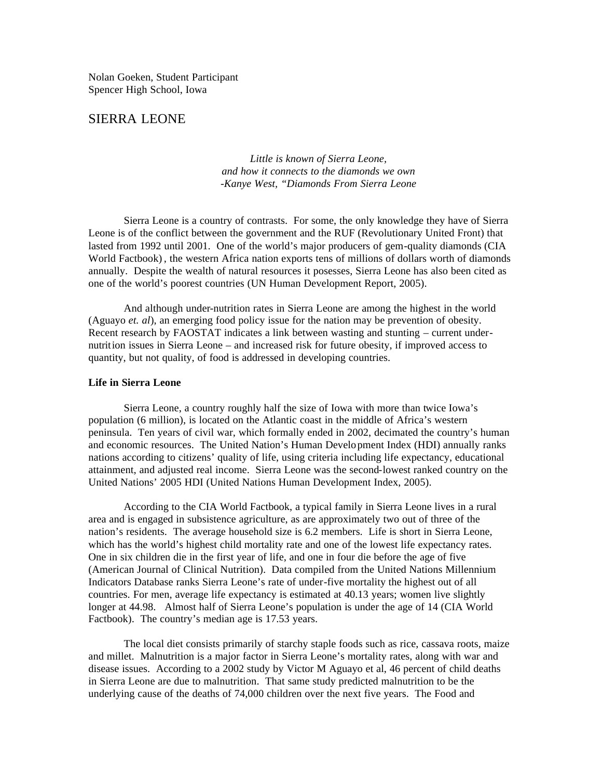Nolan Goeken, Student Participant Spencer High School, Iowa

# SIERRA LEONE

*Little is known of Sierra Leone, and how it connects to the diamonds we own -Kanye West, "Diamonds From Sierra Leone*

Sierra Leone is a country of contrasts. For some, the only knowledge they have of Sierra Leone is of the conflict between the government and the RUF (Revolutionary United Front) that lasted from 1992 until 2001. One of the world's major producers of gem-quality diamonds (CIA World Factbook) , the western Africa nation exports tens of millions of dollars worth of diamonds annually. Despite the wealth of natural resources it posesses, Sierra Leone has also been cited as one of the world's poorest countries (UN Human Development Report, 2005).

And although under-nutrition rates in Sierra Leone are among the highest in the world (Aguayo *et. al*), an emerging food policy issue for the nation may be prevention of obesity. Recent research by FAOSTAT indicates a link between wasting and stunting – current undernutrition issues in Sierra Leone – and increased risk for future obesity, if improved access to quantity, but not quality, of food is addressed in developing countries.

### **Life in Sierra Leone**

Sierra Leone, a country roughly half the size of Iowa with more than twice Iowa's population (6 million), is located on the Atlantic coast in the middle of Africa's western peninsula. Ten years of civil war, which formally ended in 2002, decimated the country's human and economic resources. The United Nation's Human Development Index (HDI) annually ranks nations according to citizens' quality of life, using criteria including life expectancy, educational attainment, and adjusted real income. Sierra Leone was the second-lowest ranked country on the United Nations' 2005 HDI (United Nations Human Development Index, 2005).

According to the CIA World Factbook, a typical family in Sierra Leone lives in a rural area and is engaged in subsistence agriculture, as are approximately two out of three of the nation's residents. The average household size is 6.2 members. Life is short in Sierra Leone, which has the world's highest child mortality rate and one of the lowest life expectancy rates. One in six children die in the first year of life, and one in four die before the age of five (American Journal of Clinical Nutrition). Data compiled from the United Nations Millennium Indicators Database ranks Sierra Leone's rate of under-five mortality the highest out of all countries. For men, average life expectancy is estimated at 40.13 years; women live slightly longer at 44.98. Almost half of Sierra Leone's population is under the age of 14 (CIA World Factbook). The country's median age is 17.53 years.

The local diet consists primarily of starchy staple foods such as rice, cassava roots, maize and millet. Malnutrition is a major factor in Sierra Leone's mortality rates, along with war and disease issues. According to a 2002 study by Victor M Aguayo et al, 46 percent of child deaths in Sierra Leone are due to malnutrition. That same study predicted malnutrition to be the underlying cause of the deaths of 74,000 children over the next five years. The Food and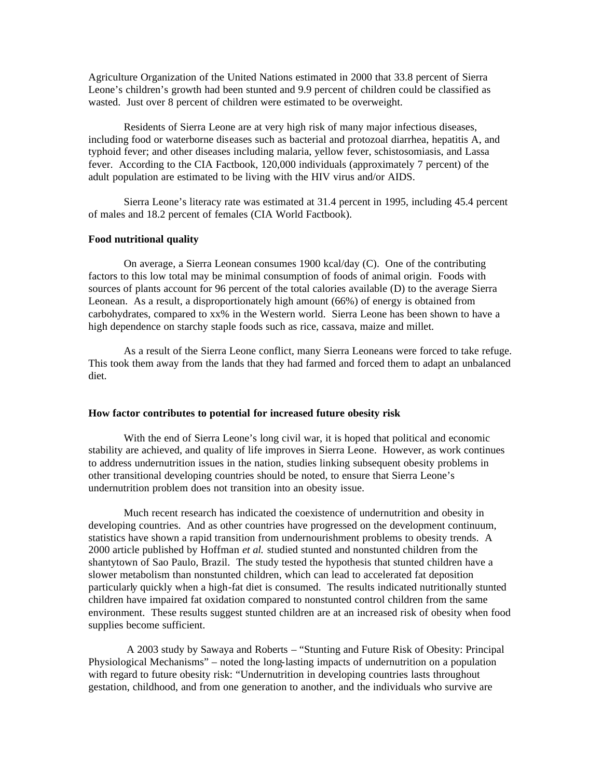Agriculture Organization of the United Nations estimated in 2000 that 33.8 percent of Sierra Leone's children's growth had been stunted and 9.9 percent of children could be classified as wasted. Just over 8 percent of children were estimated to be overweight.

Residents of Sierra Leone are at very high risk of many major infectious diseases, including food or waterborne diseases such as bacterial and protozoal diarrhea, hepatitis A, and typhoid fever; and other diseases including malaria, yellow fever, schistosomiasis, and Lassa fever. According to the CIA Factbook, 120,000 individuals (approximately 7 percent) of the adult population are estimated to be living with the HIV virus and/or AIDS.

Sierra Leone's literacy rate was estimated at 31.4 percent in 1995, including 45.4 percent of males and 18.2 percent of females (CIA World Factbook).

### **Food nutritional quality**

On average, a Sierra Leonean consumes 1900 kcal/day (C). One of the contributing factors to this low total may be minimal consumption of foods of animal origin. Foods with sources of plants account for 96 percent of the total calories available (D) to the average Sierra Leonean. As a result, a disproportionately high amount (66%) of energy is obtained from carbohydrates, compared to xx% in the Western world. Sierra Leone has been shown to have a high dependence on starchy staple foods such as rice, cassava, maize and millet.

As a result of the Sierra Leone conflict, many Sierra Leoneans were forced to take refuge. This took them away from the lands that they had farmed and forced them to adapt an unbalanced diet.

### **How factor contributes to potential for increased future obesity risk**

With the end of Sierra Leone's long civil war, it is hoped that political and economic stability are achieved, and quality of life improves in Sierra Leone. However, as work continues to address undernutrition issues in the nation, studies linking subsequent obesity problems in other transitional developing countries should be noted, to ensure that Sierra Leone's undernutrition problem does not transition into an obesity issue.

Much recent research has indicated the coexistence of undernutrition and obesity in developing countries. And as other countries have progressed on the development continuum, statistics have shown a rapid transition from undernourishment problems to obesity trends. A 2000 article published by Hoffman *et al.* studied stunted and nonstunted children from the shantytown of Sao Paulo, Brazil. The study tested the hypothesis that stunted children have a slower metabolism than nonstunted children, which can lead to accelerated fat deposition particularly quickly when a high-fat diet is consumed. The results indicated nutritionally stunted children have impaired fat oxidation compared to nonstunted control children from the same environment. These results suggest stunted children are at an increased risk of obesity when food supplies become sufficient.

 A 2003 study by Sawaya and Roberts – "Stunting and Future Risk of Obesity: Principal Physiological Mechanisms" – noted the long-lasting impacts of undernutrition on a population with regard to future obesity risk: "Undernutrition in developing countries lasts throughout gestation, childhood, and from one generation to another, and the individuals who survive are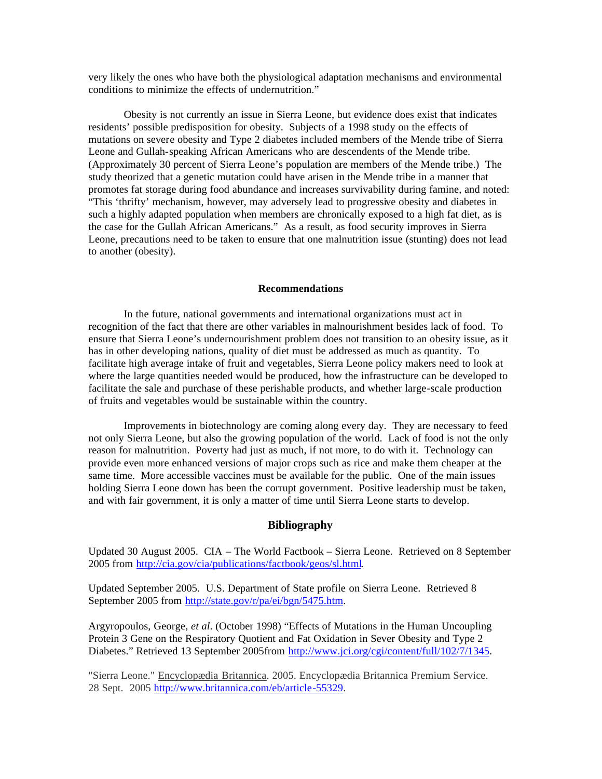very likely the ones who have both the physiological adaptation mechanisms and environmental conditions to minimize the effects of undernutrition."

Obesity is not currently an issue in Sierra Leone, but evidence does exist that indicates residents' possible predisposition for obesity. Subjects of a 1998 study on the effects of mutations on severe obesity and Type 2 diabetes included members of the Mende tribe of Sierra Leone and Gullah-speaking African Americans who are descendents of the Mende tribe. (Approximately 30 percent of Sierra Leone's population are members of the Mende tribe.) The study theorized that a genetic mutation could have arisen in the Mende tribe in a manner that promotes fat storage during food abundance and increases survivability during famine, and noted: "This 'thrifty' mechanism, however, may adversely lead to progressive obesity and diabetes in such a highly adapted population when members are chronically exposed to a high fat diet, as is the case for the Gullah African Americans." As a result, as food security improves in Sierra Leone, precautions need to be taken to ensure that one malnutrition issue (stunting) does not lead to another (obesity).

#### **Recommendations**

In the future, national governments and international organizations must act in recognition of the fact that there are other variables in malnourishment besides lack of food. To ensure that Sierra Leone's undernourishment problem does not transition to an obesity issue, as it has in other developing nations, quality of diet must be addressed as much as quantity. To facilitate high average intake of fruit and vegetables, Sierra Leone policy makers need to look at where the large quantities needed would be produced, how the infrastructure can be developed to facilitate the sale and purchase of these perishable products, and whether large-scale production of fruits and vegetables would be sustainable within the country.

Improvements in biotechnology are coming along every day. They are necessary to feed not only Sierra Leone, but also the growing population of the world. Lack of food is not the only reason for malnutrition. Poverty had just as much, if not more, to do with it. Technology can provide even more enhanced versions of major crops such as rice and make them cheaper at the same time. More accessible vaccines must be available for the public. One of the main issues holding Sierra Leone down has been the corrupt government. Positive leadership must be taken, and with fair government, it is only a matter of time until Sierra Leone starts to develop.

## **Bibliography**

Updated 30 August 2005. CIA – The World Factbook – Sierra Leone. Retrieved on 8 September 2005 from http://cia.gov/cia/publications/factbook/geos/sl.html.

Updated September 2005. U.S. Department of State profile on Sierra Leone. Retrieved 8 September 2005 from http://state.gov/r/pa/ei/bgn/5475.htm.

Argyropoulos, George, *et al*. (October 1998) "Effects of Mutations in the Human Uncoupling Protein 3 Gene on the Respiratory Quotient and Fat Oxidation in Sever Obesity and Type 2 Diabetes." Retrieved 13 September 2005from http://www.jci.org/cgi/content/full/102/7/1345.

"Sierra Leone." Encyclopædia Britannica. 2005. Encyclopædia Britannica Premium Service. 28 Sept. 2005 http://www.britannica.com/eb/article-55329.